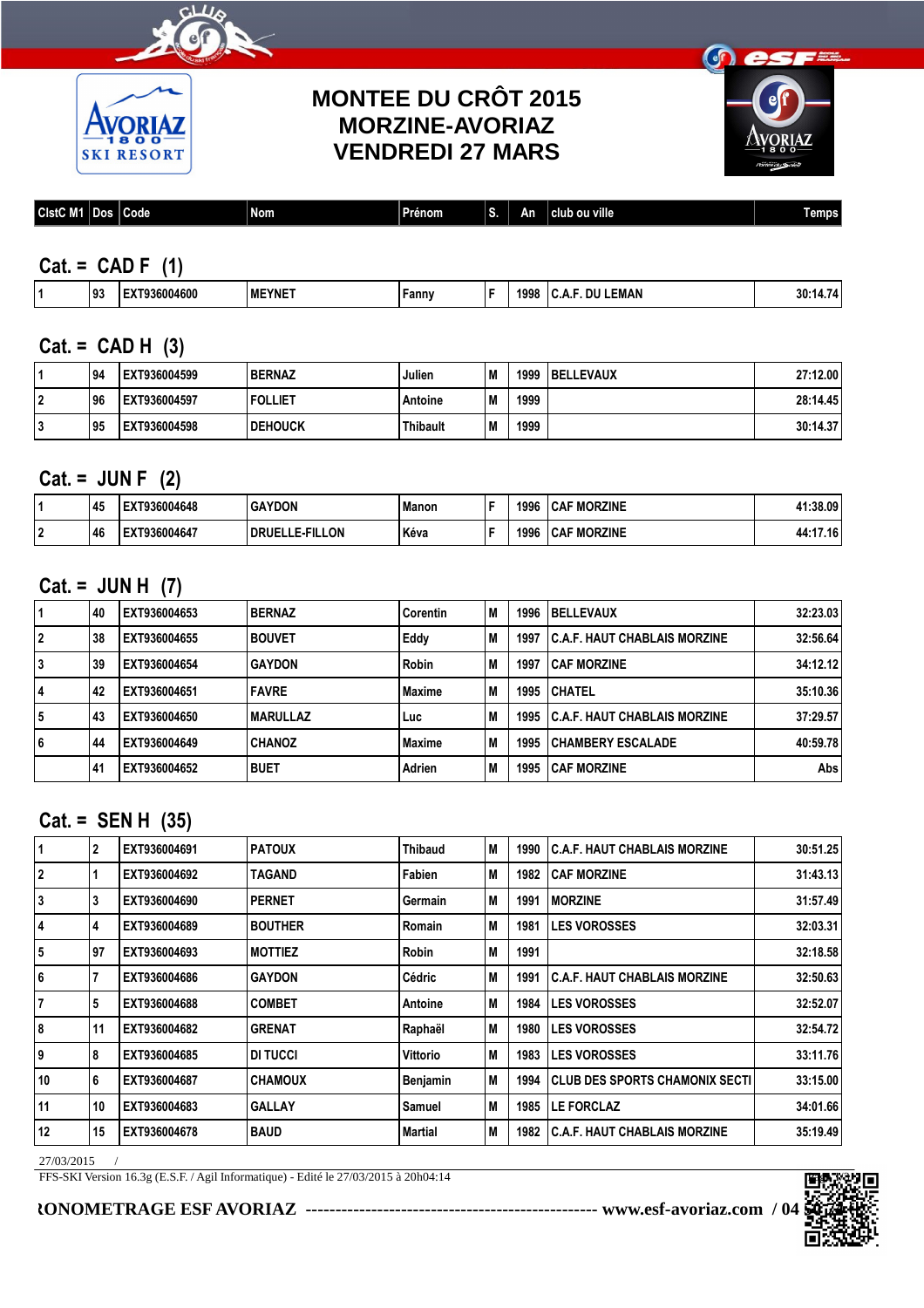



### **MONTEE DU CRÔT 2015 MORZINE-AVORIAZ VENDREDI 27 MARS**



| CistC M1 | . .<br>.JOS P | $\overline{\phantom{a}}$<br>Code I | <b>Nom</b> | −<br>Prénom | -<br>$\overline{\phantom{a}}$<br>ы | Αn | club ou ville | <b>Temps</b> |
|----------|---------------|------------------------------------|------------|-------------|------------------------------------|----|---------------|--------------|
|          |               |                                    |            |             |                                    |    |               |              |

### **Cat. = CAD F (1)**

| ≟MAN<br>EYNE <sup>*</sup><br>199:<br>30:<br>'14600<br>∴ann∨<br>I M<br>l JJ<br>--------<br>$\sim$ $\sim$ |
|---------------------------------------------------------------------------------------------------------|
|---------------------------------------------------------------------------------------------------------|

#### **Cat. = CAD H (3)**

| 94 ا | EXT936004599 | <b>BERNAZ</b>    | Julien          | M  | 1999 | <b>BELLEVAUX</b> | 27:12.00 |
|------|--------------|------------------|-----------------|----|------|------------------|----------|
| l 96 | EXT936004597 | <b>I FOLLIET</b> | Antoine         | ١M | 1999 |                  | 28:14.45 |
| 95   | EXT936004598 | <b>DEHOUCK</b>   | <b>Thibault</b> | ١M | 1999 |                  | 30:14.37 |

### **Cat. = JUN F (2)**

| 145  | T936004648 | <b>GAYDON</b>                    | l Manon | 1996 | <b>CAF MORZINE</b> | .1:38.09' |
|------|------------|----------------------------------|---------|------|--------------------|-----------|
| l 46 | Г936004647 | <b>E-FILLON</b><br><b>DRUELI</b> | l Kéva  | 1996 | <b>CAF MORZINE</b> | 44:17.16  |

### **Cat. = JUN H (7)**

| 11 | 40   | EXT936004653 | <b>BERNAZ</b>    | Corentin | lм  | 1996 | <b>IBELLEVAUX</b>                        | 32:23.03 |
|----|------|--------------|------------------|----------|-----|------|------------------------------------------|----------|
| 2  | 38   | EXT936004655 | <b>BOUVET</b>    | Eddy     | l M | 1997 | <b>C.A.F. HAUT CHABLAIS MORZINE</b>      | 32:56.64 |
| 3  | 39   | EXT936004654 | <b>GAYDON</b>    | Robin    | l M | 1997 | <b>CAF MORZINE</b>                       | 34:12.12 |
| 14 | 42   | EXT936004651 | <b>IFAVRE</b>    | Maxime   | l M |      | 1995 CHATEL                              | 35:10.36 |
| 5  | 43   | EXT936004650 | <b>IMARULLAZ</b> | Luc      | l M |      | <b>1995 C.A.F. HAUT CHABLAIS MORZINE</b> | 37:29.57 |
| 6  | 44   | EXT936004649 | <b>CHANOZ</b>    | Maxime   | l M | 1995 | <b>CHAMBERY ESCALADE</b>                 | 40:59.78 |
|    | , 41 | EXT936004652 | I BUET           | Adrien   | l M | 1995 | <b>CAF MORZINE</b>                       | Abs      |

#### **Cat. = SEN H (35)**

| $\vert$ 1 | $\mathbf{2}$ | EXT936004691 | <b>PATOUX</b>  | <b>Thibaud</b> | M  | 1990 | l C.A.F. HAUT CHABLAIS MORZINE        | 30:51.25 |
|-----------|--------------|--------------|----------------|----------------|----|------|---------------------------------------|----------|
| 2         |              | EXT936004692 | TAGAND         | Fabien         | M  | 1982 | <b>CAF MORZINE</b>                    | 31:43.13 |
| 3         | 3            | EXT936004690 | <b>PERNET</b>  | Germain        | M  | 1991 | <b>IMORZINE</b>                       | 31:57.49 |
| 4         | 4            | EXT936004689 | <b>BOUTHER</b> | Romain         | M  | 1981 | <b>ILES VOROSSES</b>                  | 32:03.31 |
| 5         | 97           | EXT936004693 | <b>MOTTIEZ</b> | <b>Robin</b>   | M  | 1991 |                                       | 32:18.58 |
| 6         |              | EXT936004686 | <b>GAYDON</b>  | Cédric         | M  | 1991 | <b>I C.A.F. HAUT CHABLAIS MORZINE</b> | 32:50.63 |
| 7         | 5            | EXT936004688 | <b>COMBET</b>  | Antoine        | M  | 1984 | <b>ILES VOROSSES</b>                  | 32:52.07 |
| 8         | 11           | EXT936004682 | <b>GRENAT</b>  | Raphaël        | M  | 1980 | <b>ILES VOROSSES</b>                  | 32:54.72 |
| 9         | 8            | EXT936004685 | DI TUCCI       | Vittorio       | M  | 1983 | <b>ILES VOROSSES</b>                  | 33:11.76 |
| 10        | 6            | EXT936004687 | <b>CHAMOUX</b> | Benjamin       | IМ | 1994 | CLUB DES SPORTS CHAMONIX SECTI        | 33:15.00 |
| 11        | 10           | EXT936004683 | <b>GALLAY</b>  | Samuel         | M  | 1985 | <b>LE FORCLAZ</b>                     | 34:01.66 |
| 12        | 15           | EXT936004678 | <b>BAUD</b>    | <b>Martial</b> | M  | 1982 | <b>I C.A.F. HAUT CHABLAIS MORZINE</b> | 35:19.49 |
|           |              |              |                |                |    |      |                                       |          |

27/03/2015 /

FFS-SKI Version 16.3g (E.S.F. / Agil Informatique) - Edité le 27/03/2015 à 20h04:14

**CHRONOMETRAGE ESF AVORIAZ ------------------------------------------------- www.esf-avoriaz.com / 04 50 74 05 65**

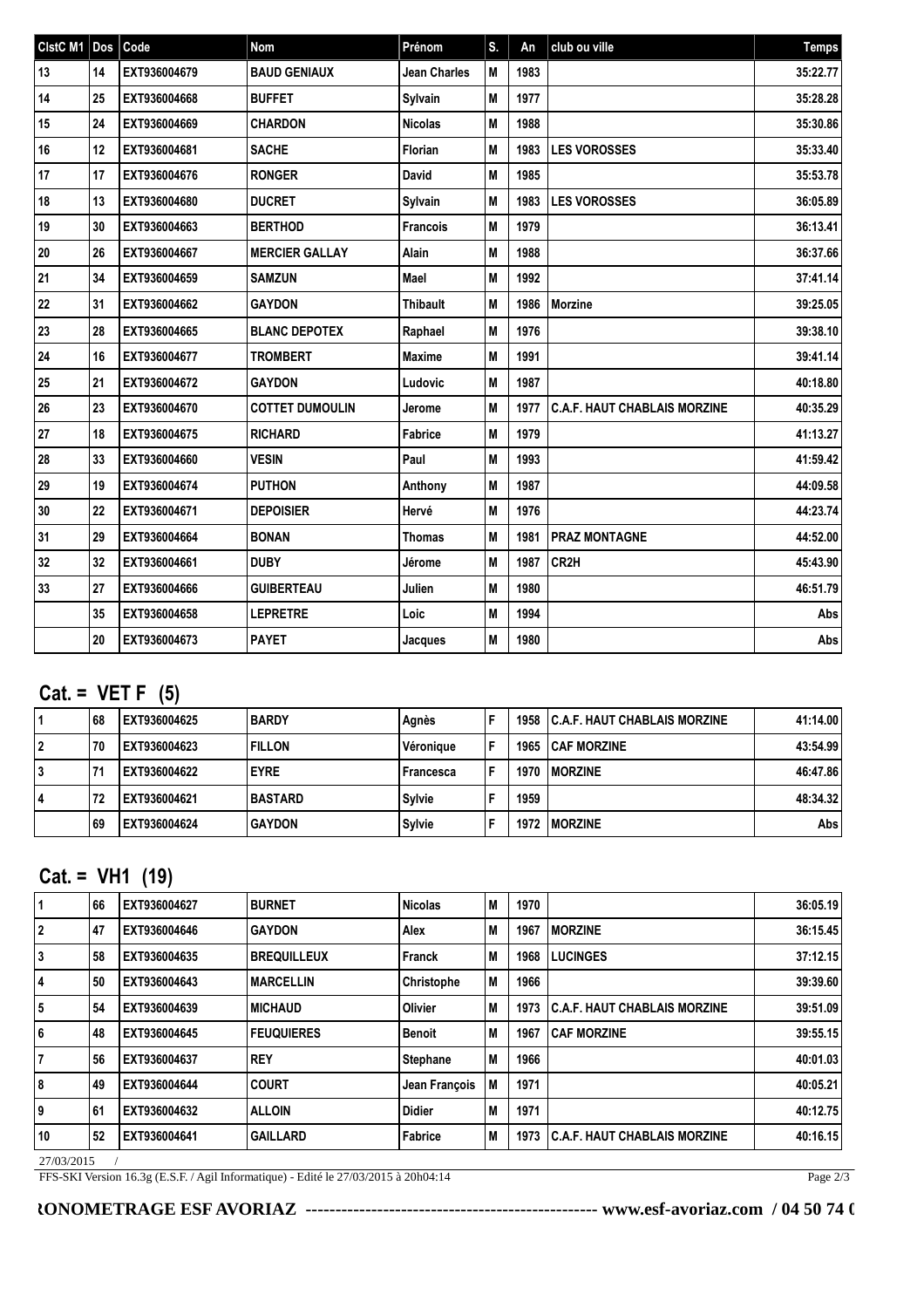| CistC M1 Dos |    | Code         | Nom                    | Prénom              | S. | An   | club ou ville                       | <b>Temps</b> |
|--------------|----|--------------|------------------------|---------------------|----|------|-------------------------------------|--------------|
| 13           | 14 | EXT936004679 | <b>BAUD GENIAUX</b>    | <b>Jean Charles</b> | M  | 1983 |                                     | 35:22.77     |
| 14           | 25 | EXT936004668 | <b>BUFFET</b>          | Sylvain             | M  | 1977 |                                     | 35:28.28     |
| 15           | 24 | EXT936004669 | <b>CHARDON</b>         | <b>Nicolas</b>      | M  | 1988 |                                     | 35:30.86     |
| 16           | 12 | EXT936004681 | <b>SACHE</b>           | <b>Florian</b>      | M  | 1983 | <b>LES VOROSSES</b>                 | 35:33.40     |
| 17           | 17 | EXT936004676 | <b>RONGER</b>          | <b>David</b>        | M  | 1985 |                                     | 35:53.78     |
| 18           | 13 | EXT936004680 | <b>DUCRET</b>          | Sylvain             | M  | 1983 | <b>LES VOROSSES</b>                 | 36:05.89     |
| 19           | 30 | EXT936004663 | <b>BERTHOD</b>         | <b>Francois</b>     | M  | 1979 |                                     | 36:13.41     |
| 20           | 26 | EXT936004667 | <b>MERCIER GALLAY</b>  | Alain               | M  | 1988 |                                     | 36:37.66     |
| 21           | 34 | EXT936004659 | <b>SAMZUN</b>          | Mael                | M  | 1992 |                                     | 37:41.14     |
| 22           | 31 | EXT936004662 | <b>GAYDON</b>          | <b>Thibault</b>     | M  | 1986 | Morzine                             | 39:25.05     |
| 23           | 28 | EXT936004665 | <b>BLANC DEPOTEX</b>   | Raphael             | M  | 1976 |                                     | 39:38.10     |
| 24           | 16 | EXT936004677 | <b>TROMBERT</b>        | Maxime              | M  | 1991 |                                     | 39:41.14     |
| 25           | 21 | EXT936004672 | <b>GAYDON</b>          | Ludovic             | M  | 1987 |                                     | 40:18.80     |
| 26           | 23 | EXT936004670 | <b>COTTET DUMOULIN</b> | Jerome              | IМ | 1977 | <b>C.A.F. HAUT CHABLAIS MORZINE</b> | 40:35.29     |
| 27           | 18 | EXT936004675 | <b>RICHARD</b>         | Fabrice             | M  | 1979 |                                     | 41:13.27     |
| 28           | 33 | EXT936004660 | <b>VESIN</b>           | Paul                | IМ | 1993 |                                     | 41:59.42     |
| 29           | 19 | EXT936004674 | <b>PUTHON</b>          | Anthony             | M  | 1987 |                                     | 44:09.58     |
| 30           | 22 | EXT936004671 | <b>DEPOISIER</b>       | Hervé               | M  | 1976 |                                     | 44:23.74     |
| 31           | 29 | EXT936004664 | <b>BONAN</b>           | <b>Thomas</b>       | M  | 1981 | <b>PRAZ MONTAGNE</b>                | 44:52.00     |
| 32           | 32 | EXT936004661 | <b>DUBY</b>            | Jérome              | M  | 1987 | CR2H                                | 45:43.90     |
| 33           | 27 | EXT936004666 | <b>GUIBERTEAU</b>      | Julien              | M  | 1980 |                                     | 46:51.79     |
|              | 35 | EXT936004658 | <b>LEPRETRE</b>        | Loic                | M  | 1994 |                                     | Abs          |
|              | 20 | EXT936004673 | <b>PAYET</b>           | Jacques             | M  | 1980 |                                     | Abs          |

# **Cat. = VET F (5)**

|   | l 68 | EXT936004625 | <b>BARDY</b>    | Agnès     | Е |      | <b>1958 C.A.F. HAUT CHABLAIS MORZINE</b> | 41:14.00 |
|---|------|--------------|-----------------|-----------|---|------|------------------------------------------|----------|
|   | 70   | EXT936004623 | <b>FILLON</b>   | Véronique | F |      | <b>1965 ICAF MORZINE</b>                 | 43:54.99 |
| 3 | 74   | EXT936004622 | <b>EYRE</b>     | Francesca | Е | 1970 | <b>IMORZINE</b>                          | 46:47.86 |
| 4 | 72   | EXT936004621 | <b>IBASTARD</b> | Svlvie    |   | 1959 |                                          | 48:34.32 |
|   | 69   | EXT936004624 | <b>GAYDON</b>   | Sylvie    |   | 1972 | <b>IMORZINE</b>                          | Abs l    |

## **Cat. = VH1 (19)**

| 1              | 66 | EXT936004627 | <b>BURNET</b>      | <b>Nicolas</b>  | IМ | 1970 |                                       | 36:05.19 |
|----------------|----|--------------|--------------------|-----------------|----|------|---------------------------------------|----------|
| 2              | 47 | EXT936004646 | <b>GAYDON</b>      | Alex            | IМ | 1967 | <b>IMORZINE</b>                       | 36:15.45 |
| 13             | 58 | EXT936004635 | <b>BREQUILLEUX</b> | Franck          | IМ | 1968 | <b>LUCINGES</b>                       | 37:12.15 |
| 14             | 50 | EXT936004643 | <b>MARCELLIN</b>   | Christophe      | IМ | 1966 |                                       | 39:39.60 |
| 5              | 54 | EXT936004639 | <b>MICHAUD</b>     | <b>Olivier</b>  | IМ | 1973 | <b>I C.A.F. HAUT CHABLAIS MORZINE</b> | 39:51.09 |
| 6              | 48 | EXT936004645 | <b>FEUQUIERES</b>  | Benoit          | IМ | 1967 | <b>CAF MORZINE</b>                    | 39:55.15 |
| $\overline{7}$ | 56 | EXT936004637 | <b>REY</b>         | <b>Stephane</b> | IМ | 1966 |                                       | 40:01.03 |
| 8              | 49 | EXT936004644 | <b>COURT</b>       | Jean François   | IМ | 1971 |                                       | 40:05.21 |
| 9١             | 61 | EXT936004632 | <b>ALLOIN</b>      | <b>Didier</b>   | IМ | 1971 |                                       | 40:12.75 |
| 10             | 52 | EXT936004641 | <b>GAILLARD</b>    | Fabrice         | IМ | 1973 | <b>C.A.F. HAUT CHABLAIS MORZINE</b>   | 40:16.15 |

27/03/2015 /

FFS-SKI Version 16.3g (E.S.F. / Agil Informatique) - Edité le 27/03/2015 à 20h04:14

Page 2/3